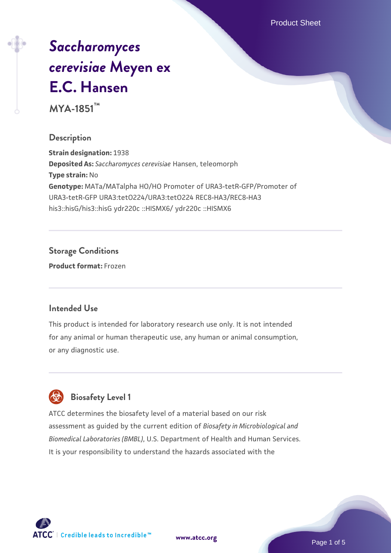Product Sheet

# *[Saccharomyces](https://www.atcc.org/products/mya-1851) [cerevisiae](https://www.atcc.org/products/mya-1851)* **[Meyen ex](https://www.atcc.org/products/mya-1851) [E.C. Hansen](https://www.atcc.org/products/mya-1851)**

**MYA-1851™**

#### **Description**

**Strain designation:** 1938 **Deposited As:** *Saccharomyces cerevisiae* Hansen, teleomorph **Type strain:** No **Genotype:** MATa/MATalpha HO/HO Promoter of URA3-tetR-GFP/Promoter of URA3-tetR-GFP URA3:tetO224/URA3:tetO224 REC8-HA3/REC8-HA3 his3::hisG/his3::hisG ydr220c ::HISMX6/ ydr220c ::HISMX6

# **Storage Conditions**

**Product format:** Frozen

#### **Intended Use**

This product is intended for laboratory research use only. It is not intended for any animal or human therapeutic use, any human or animal consumption, or any diagnostic use.



# **Biosafety Level 1**

ATCC determines the biosafety level of a material based on our risk assessment as guided by the current edition of *Biosafety in Microbiological and Biomedical Laboratories (BMBL)*, U.S. Department of Health and Human Services. It is your responsibility to understand the hazards associated with the

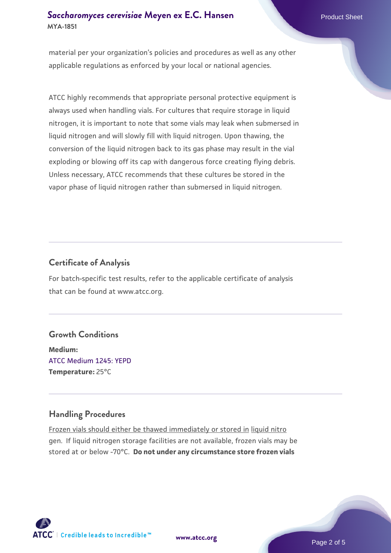## **[Saccharomyces cerevisiae](https://www.atcc.org/products/mya-1851)** [Meyen ex E.C. Hansen](https://www.atcc.org/products/mya-1851) **MYA-1851**

material per your organization's policies and procedures as well as any other applicable regulations as enforced by your local or national agencies.

ATCC highly recommends that appropriate personal protective equipment is always used when handling vials. For cultures that require storage in liquid nitrogen, it is important to note that some vials may leak when submersed in liquid nitrogen and will slowly fill with liquid nitrogen. Upon thawing, the conversion of the liquid nitrogen back to its gas phase may result in the vial exploding or blowing off its cap with dangerous force creating flying debris. Unless necessary, ATCC recommends that these cultures be stored in the vapor phase of liquid nitrogen rather than submersed in liquid nitrogen.

# **Certificate of Analysis**

For batch-specific test results, refer to the applicable certificate of analysis that can be found at www.atcc.org.

# **Growth Conditions**

**Medium:**  [ATCC Medium 1245: YEPD](https://www.atcc.org/-/media/product-assets/documents/microbial-media-formulations/1/2/4/5/atcc-medium-1245.pdf?rev=705ca55d1b6f490a808a965d5c072196) **Temperature:** 25°C

# **Handling Procedures**

Frozen vials should either be thawed immediately or stored in liquid nitro gen. If liquid nitrogen storage facilities are not available, frozen vials may be stored at or below -70°C. **Do not under any circumstance store frozen vials**



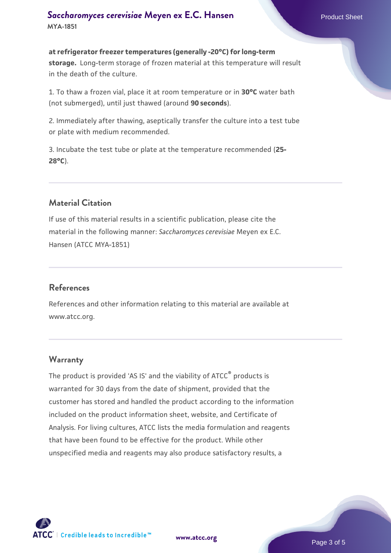#### **[Saccharomyces cerevisiae](https://www.atcc.org/products/mya-1851)** [Meyen ex E.C. Hansen](https://www.atcc.org/products/mya-1851) **MYA-1851**

**at refrigerator freezer temperatures (generally -20°C) for long-term storage.** Long-term storage of frozen material at this temperature will result in the death of the culture.

1. To thaw a frozen vial, place it at room temperature or in **30°C** water bath (not submerged), until just thawed (around **90 seconds**).

2. Immediately after thawing, aseptically transfer the culture into a test tube or plate with medium recommended.

3. Incubate the test tube or plate at the temperature recommended (**25- 28°C**).

# **Material Citation**

If use of this material results in a scientific publication, please cite the material in the following manner: *Saccharomyces cerevisiae* Meyen ex E.C. Hansen (ATCC MYA-1851)

#### **References**

References and other information relating to this material are available at www.atcc.org.

#### **Warranty**

The product is provided 'AS IS' and the viability of ATCC® products is warranted for 30 days from the date of shipment, provided that the customer has stored and handled the product according to the information included on the product information sheet, website, and Certificate of Analysis. For living cultures, ATCC lists the media formulation and reagents that have been found to be effective for the product. While other unspecified media and reagents may also produce satisfactory results, a



**[www.atcc.org](http://www.atcc.org)**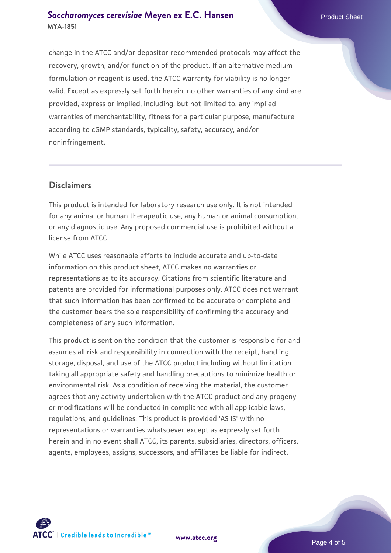#### **[Saccharomyces cerevisiae](https://www.atcc.org/products/mya-1851)** [Meyen ex E.C. Hansen](https://www.atcc.org/products/mya-1851) **MYA-1851**

change in the ATCC and/or depositor-recommended protocols may affect the recovery, growth, and/or function of the product. If an alternative medium formulation or reagent is used, the ATCC warranty for viability is no longer valid. Except as expressly set forth herein, no other warranties of any kind are provided, express or implied, including, but not limited to, any implied warranties of merchantability, fitness for a particular purpose, manufacture according to cGMP standards, typicality, safety, accuracy, and/or noninfringement.

#### **Disclaimers**

This product is intended for laboratory research use only. It is not intended for any animal or human therapeutic use, any human or animal consumption, or any diagnostic use. Any proposed commercial use is prohibited without a license from ATCC.

While ATCC uses reasonable efforts to include accurate and up-to-date information on this product sheet, ATCC makes no warranties or representations as to its accuracy. Citations from scientific literature and patents are provided for informational purposes only. ATCC does not warrant that such information has been confirmed to be accurate or complete and the customer bears the sole responsibility of confirming the accuracy and completeness of any such information.

This product is sent on the condition that the customer is responsible for and assumes all risk and responsibility in connection with the receipt, handling, storage, disposal, and use of the ATCC product including without limitation taking all appropriate safety and handling precautions to minimize health or environmental risk. As a condition of receiving the material, the customer agrees that any activity undertaken with the ATCC product and any progeny or modifications will be conducted in compliance with all applicable laws, regulations, and guidelines. This product is provided 'AS IS' with no representations or warranties whatsoever except as expressly set forth herein and in no event shall ATCC, its parents, subsidiaries, directors, officers, agents, employees, assigns, successors, and affiliates be liable for indirect,